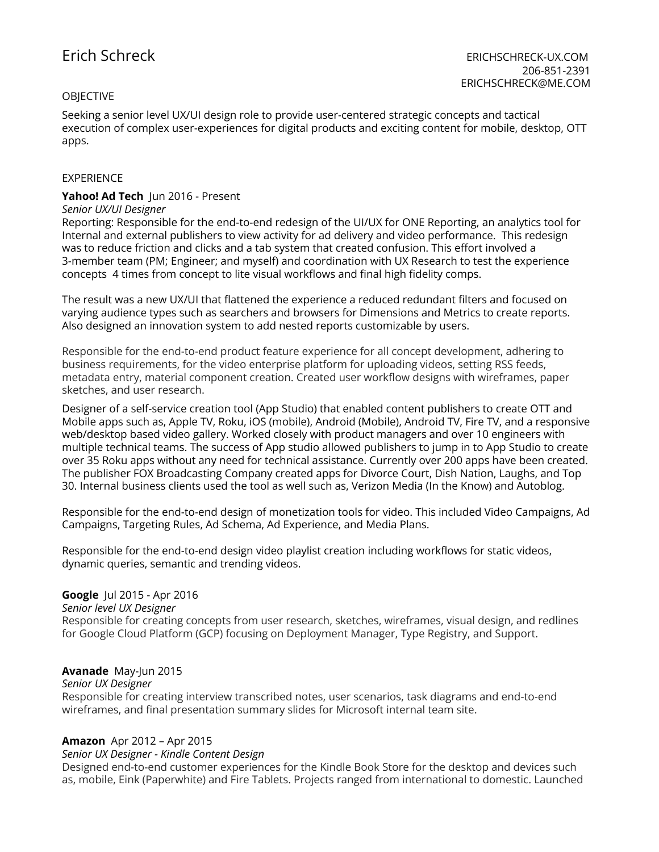# **OBJECTIVE**

Seeking a senior level UX/UI design role to provide user-centered strategic concepts and tactical execution of complex user-experiences for digital products and exciting content for mobile, desktop, OTT apps.

## EXPERIENCE

# **Yahoo! Ad Tech** Jun 2016 - Present

### *Senior UX/UI Designer*

Reporting: Responsible for the end-to-end redesign of the UI/UX for ONE Reporting, an analytics tool for Internal and external publishers to view activity for ad delivery and video performance. This redesign was to reduce friction and clicks and a tab system that created confusion. This effort involved a 3-member team (PM; Engineer; and myself) and coordination with UX Research to test the experience concepts 4 times from concept to lite visual workflows and final high fidelity comps.

The result was a new UX/UI that flattened the experience a reduced redundant filters and focused on varying audience types such as searchers and browsers for Dimensions and Metrics to create reports. Also designed an innovation system to add nested reports customizable by users.

Responsible for the end-to-end product feature experience for all concept development, adhering to business requirements, for the video enterprise platform for uploading videos, setting RSS feeds, metadata entry, material component creation. Created user workflow designs with wireframes, paper sketches, and user research.

Designer of a self-service creation tool (App Studio) that enabled content publishers to create OTT and Mobile apps such as, Apple TV, Roku, iOS (mobile), Android (Mobile), Android TV, Fire TV, and a responsive web/desktop based video gallery. Worked closely with product managers and over 10 engineers with multiple technical teams. The success of App studio allowed publishers to jump in to App Studio to create over 35 Roku apps without any need for technical assistance. Currently over 200 apps have been created. The publisher FOX Broadcasting Company created apps for Divorce Court, Dish Nation, Laughs, and Top 30. Internal business clients used the tool as well such as, Verizon Media (In the Know) and Autoblog.

Responsible for the end-to-end design of monetization tools for video. This included Video Campaigns, Ad Campaigns, Targeting Rules, Ad Schema, Ad Experience, and Media Plans.

Responsible for the end-to-end design video playlist creation including workflows for static videos, dynamic queries, semantic and trending videos.

## **Google** Jul 2015 - Apr 2016

*Senior level UX Designer*

Responsible for creating concepts from user research, sketches, wireframes, visual design, and redlines for Google Cloud Platform (GCP) focusing on Deployment Manager, Type Registry, and Support.

## **Avanade** May-Jun 2015

#### *Senior UX Designer*

Responsible for creating interview transcribed notes, user scenarios, task diagrams and end-to-end wireframes, and final presentation summary slides for Microsoft internal team site.

## **Amazon** Apr 2012 – Apr 2015

#### *Senior UX Designer - Kindle Content Design*

Designed end-to-end customer experiences for the Kindle Book Store for the desktop and devices such as, mobile, Eink (Paperwhite) and Fire Tablets. Projects ranged from international to domestic. Launched